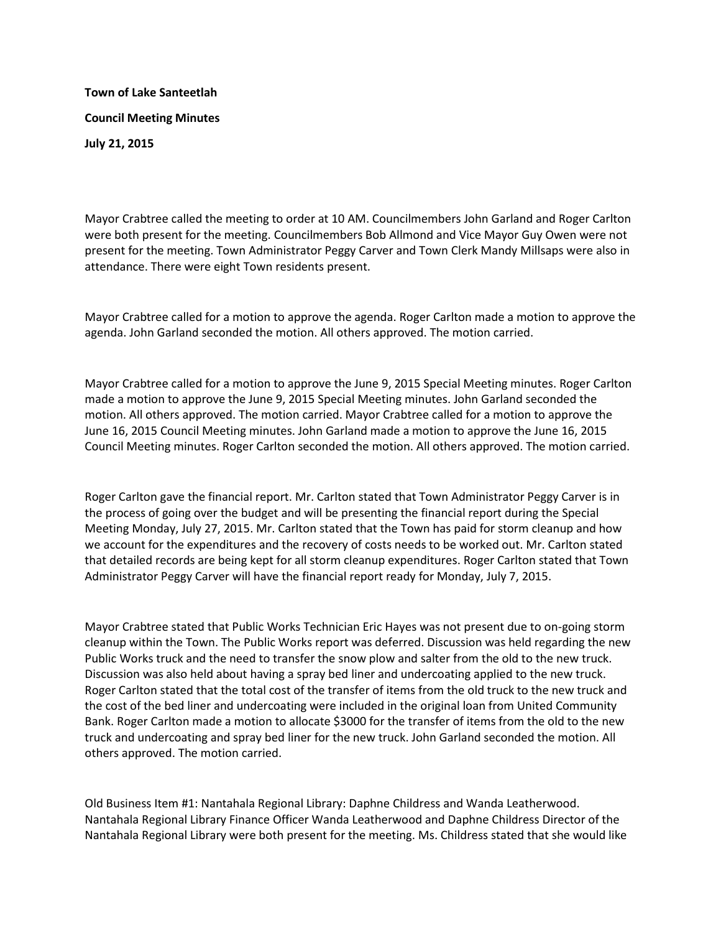**Town of Lake Santeetlah Council Meeting Minutes July 21, 2015**

Mayor Crabtree called the meeting to order at 10 AM. Councilmembers John Garland and Roger Carlton were both present for the meeting. Councilmembers Bob Allmond and Vice Mayor Guy Owen were not present for the meeting. Town Administrator Peggy Carver and Town Clerk Mandy Millsaps were also in attendance. There were eight Town residents present.

Mayor Crabtree called for a motion to approve the agenda. Roger Carlton made a motion to approve the agenda. John Garland seconded the motion. All others approved. The motion carried.

Mayor Crabtree called for a motion to approve the June 9, 2015 Special Meeting minutes. Roger Carlton made a motion to approve the June 9, 2015 Special Meeting minutes. John Garland seconded the motion. All others approved. The motion carried. Mayor Crabtree called for a motion to approve the June 16, 2015 Council Meeting minutes. John Garland made a motion to approve the June 16, 2015 Council Meeting minutes. Roger Carlton seconded the motion. All others approved. The motion carried.

Roger Carlton gave the financial report. Mr. Carlton stated that Town Administrator Peggy Carver is in the process of going over the budget and will be presenting the financial report during the Special Meeting Monday, July 27, 2015. Mr. Carlton stated that the Town has paid for storm cleanup and how we account for the expenditures and the recovery of costs needs to be worked out. Mr. Carlton stated that detailed records are being kept for all storm cleanup expenditures. Roger Carlton stated that Town Administrator Peggy Carver will have the financial report ready for Monday, July 7, 2015.

Mayor Crabtree stated that Public Works Technician Eric Hayes was not present due to on-going storm cleanup within the Town. The Public Works report was deferred. Discussion was held regarding the new Public Works truck and the need to transfer the snow plow and salter from the old to the new truck. Discussion was also held about having a spray bed liner and undercoating applied to the new truck. Roger Carlton stated that the total cost of the transfer of items from the old truck to the new truck and the cost of the bed liner and undercoating were included in the original loan from United Community Bank. Roger Carlton made a motion to allocate \$3000 for the transfer of items from the old to the new truck and undercoating and spray bed liner for the new truck. John Garland seconded the motion. All others approved. The motion carried.

Old Business Item #1: Nantahala Regional Library: Daphne Childress and Wanda Leatherwood. Nantahala Regional Library Finance Officer Wanda Leatherwood and Daphne Childress Director of the Nantahala Regional Library were both present for the meeting. Ms. Childress stated that she would like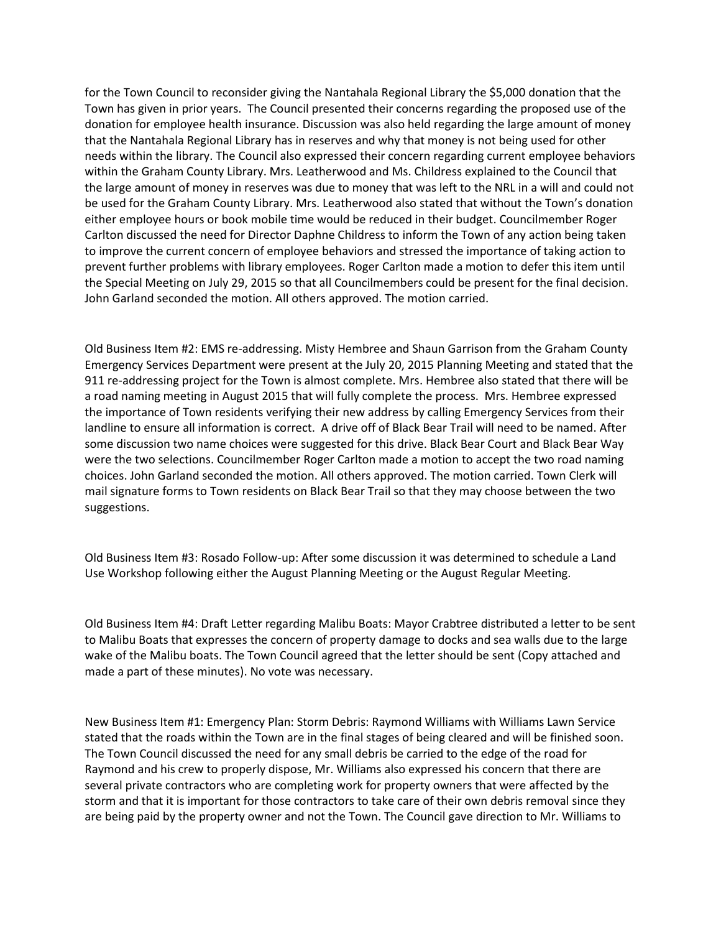for the Town Council to reconsider giving the Nantahala Regional Library the \$5,000 donation that the Town has given in prior years. The Council presented their concerns regarding the proposed use of the donation for employee health insurance. Discussion was also held regarding the large amount of money that the Nantahala Regional Library has in reserves and why that money is not being used for other needs within the library. The Council also expressed their concern regarding current employee behaviors within the Graham County Library. Mrs. Leatherwood and Ms. Childress explained to the Council that the large amount of money in reserves was due to money that was left to the NRL in a will and could not be used for the Graham County Library. Mrs. Leatherwood also stated that without the Town's donation either employee hours or book mobile time would be reduced in their budget. Councilmember Roger Carlton discussed the need for Director Daphne Childress to inform the Town of any action being taken to improve the current concern of employee behaviors and stressed the importance of taking action to prevent further problems with library employees. Roger Carlton made a motion to defer this item until the Special Meeting on July 29, 2015 so that all Councilmembers could be present for the final decision. John Garland seconded the motion. All others approved. The motion carried.

Old Business Item #2: EMS re-addressing. Misty Hembree and Shaun Garrison from the Graham County Emergency Services Department were present at the July 20, 2015 Planning Meeting and stated that the 911 re-addressing project for the Town is almost complete. Mrs. Hembree also stated that there will be a road naming meeting in August 2015 that will fully complete the process. Mrs. Hembree expressed the importance of Town residents verifying their new address by calling Emergency Services from their landline to ensure all information is correct. A drive off of Black Bear Trail will need to be named. After some discussion two name choices were suggested for this drive. Black Bear Court and Black Bear Way were the two selections. Councilmember Roger Carlton made a motion to accept the two road naming choices. John Garland seconded the motion. All others approved. The motion carried. Town Clerk will mail signature forms to Town residents on Black Bear Trail so that they may choose between the two suggestions.

Old Business Item #3: Rosado Follow-up: After some discussion it was determined to schedule a Land Use Workshop following either the August Planning Meeting or the August Regular Meeting.

Old Business Item #4: Draft Letter regarding Malibu Boats: Mayor Crabtree distributed a letter to be sent to Malibu Boats that expresses the concern of property damage to docks and sea walls due to the large wake of the Malibu boats. The Town Council agreed that the letter should be sent (Copy attached and made a part of these minutes). No vote was necessary.

New Business Item #1: Emergency Plan: Storm Debris: Raymond Williams with Williams Lawn Service stated that the roads within the Town are in the final stages of being cleared and will be finished soon. The Town Council discussed the need for any small debris be carried to the edge of the road for Raymond and his crew to properly dispose, Mr. Williams also expressed his concern that there are several private contractors who are completing work for property owners that were affected by the storm and that it is important for those contractors to take care of their own debris removal since they are being paid by the property owner and not the Town. The Council gave direction to Mr. Williams to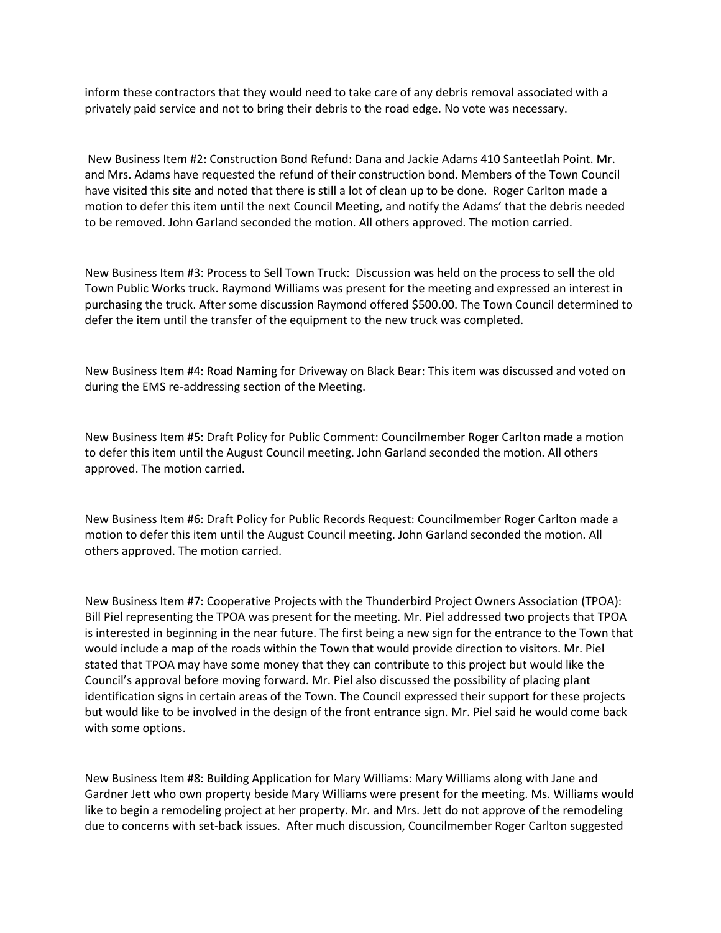inform these contractors that they would need to take care of any debris removal associated with a privately paid service and not to bring their debris to the road edge. No vote was necessary.

New Business Item #2: Construction Bond Refund: Dana and Jackie Adams 410 Santeetlah Point. Mr. and Mrs. Adams have requested the refund of their construction bond. Members of the Town Council have visited this site and noted that there is still a lot of clean up to be done. Roger Carlton made a motion to defer this item until the next Council Meeting, and notify the Adams' that the debris needed to be removed. John Garland seconded the motion. All others approved. The motion carried.

New Business Item #3: Process to Sell Town Truck: Discussion was held on the process to sell the old Town Public Works truck. Raymond Williams was present for the meeting and expressed an interest in purchasing the truck. After some discussion Raymond offered \$500.00. The Town Council determined to defer the item until the transfer of the equipment to the new truck was completed.

New Business Item #4: Road Naming for Driveway on Black Bear: This item was discussed and voted on during the EMS re-addressing section of the Meeting.

New Business Item #5: Draft Policy for Public Comment: Councilmember Roger Carlton made a motion to defer this item until the August Council meeting. John Garland seconded the motion. All others approved. The motion carried.

New Business Item #6: Draft Policy for Public Records Request: Councilmember Roger Carlton made a motion to defer this item until the August Council meeting. John Garland seconded the motion. All others approved. The motion carried.

New Business Item #7: Cooperative Projects with the Thunderbird Project Owners Association (TPOA): Bill Piel representing the TPOA was present for the meeting. Mr. Piel addressed two projects that TPOA is interested in beginning in the near future. The first being a new sign for the entrance to the Town that would include a map of the roads within the Town that would provide direction to visitors. Mr. Piel stated that TPOA may have some money that they can contribute to this project but would like the Council's approval before moving forward. Mr. Piel also discussed the possibility of placing plant identification signs in certain areas of the Town. The Council expressed their support for these projects but would like to be involved in the design of the front entrance sign. Mr. Piel said he would come back with some options.

New Business Item #8: Building Application for Mary Williams: Mary Williams along with Jane and Gardner Jett who own property beside Mary Williams were present for the meeting. Ms. Williams would like to begin a remodeling project at her property. Mr. and Mrs. Jett do not approve of the remodeling due to concerns with set-back issues. After much discussion, Councilmember Roger Carlton suggested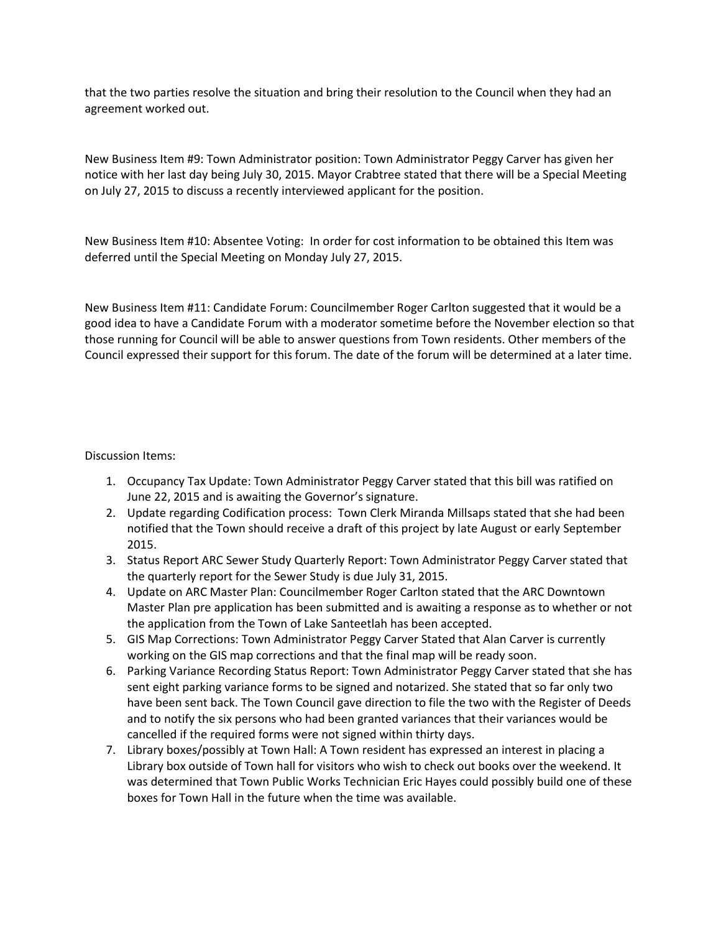that the two parties resolve the situation and bring their resolution to the Council when they had an agreement worked out.

New Business Item #9: Town Administrator position: Town Administrator Peggy Carver has given her notice with her last day being July 30, 2015. Mayor Crabtree stated that there will be a Special Meeting on July 27, 2015 to discuss a recently interviewed applicant for the position.

New Business Item #10: Absentee Voting: In order for cost information to be obtained this Item was deferred until the Special Meeting on Monday July 27, 2015.

New Business Item #11: Candidate Forum: Councilmember Roger Carlton suggested that it would be a good idea to have a Candidate Forum with a moderator sometime before the November election so that those running for Council will be able to answer questions from Town residents. Other members of the Council expressed their support for this forum. The date of the forum will be determined at a later time.

## Discussion Items:

- 1. Occupancy Tax Update: Town Administrator Peggy Carver stated that this bill was ratified on June 22, 2015 and is awaiting the Governor's signature.
- 2. Update regarding Codification process: Town Clerk Miranda Millsaps stated that she had been notified that the Town should receive a draft of this project by late August or early September 2015.
- 3. Status Report ARC Sewer Study Quarterly Report: Town Administrator Peggy Carver stated that the quarterly report for the Sewer Study is due July 31, 2015.
- 4. Update on ARC Master Plan: Councilmember Roger Carlton stated that the ARC Downtown Master Plan pre application has been submitted and is awaiting a response as to whether or not the application from the Town of Lake Santeetlah has been accepted.
- 5. GIS Map Corrections: Town Administrator Peggy Carver Stated that Alan Carver is currently working on the GIS map corrections and that the final map will be ready soon.
- 6. Parking Variance Recording Status Report: Town Administrator Peggy Carver stated that she has sent eight parking variance forms to be signed and notarized. She stated that so far only two have been sent back. The Town Council gave direction to file the two with the Register of Deeds and to notify the six persons who had been granted variances that their variances would be cancelled if the required forms were not signed within thirty days.
- 7. Library boxes/possibly at Town Hall: A Town resident has expressed an interest in placing a Library box outside of Town hall for visitors who wish to check out books over the weekend. It was determined that Town Public Works Technician Eric Hayes could possibly build one of these boxes for Town Hall in the future when the time was available.